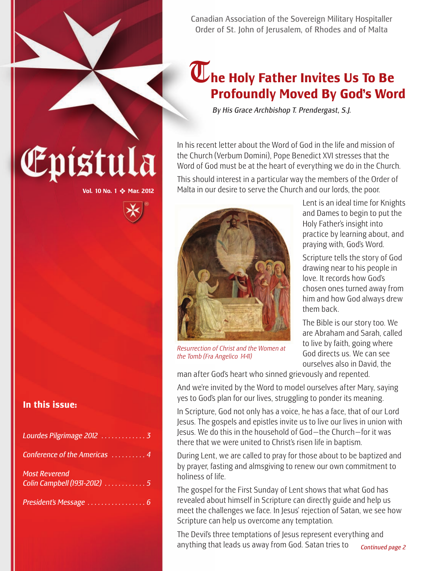Canadian Association of the Sovereign Military Hospitaller Order of St. John of Jerusalem, of Rhodes and of Malta

## **The Holy Father Invites Us To Be Profoundly Moved By God's Word**

*By His Grace Archbishop T. Prendergast, S.J.*

In his recent letter about the Word of God in the life and mission of the Church (Verbum Domini), Pope Benedict XVI stresses that the Word of God must be at the heart of everything we do in the Church.

This should interest in a particular way the members of the Order of Malta in our desire to serve the Church and our lords, the poor.



*Resurrection of Christ and the Women at the Tomb (Fra Angelico 1441)*

Lent is an ideal time for Knights and Dames to begin to put the Holy Father's insight into practice by learning about, and praying with, God's Word.

Scripture tells the story of God drawing near to his people in love. It records how God's chosen ones turned away from him and how God always drew them back.

The Bible is our story too. We are Abraham and Sarah, called to live by faith, going where God directs us. We can see ourselves also in David, the

man after God's heart who sinned grievously and repented.

And we're invited by the Word to model ourselves after Mary, saying yes to God's plan for our lives, struggling to ponder its meaning.

In Scripture, God not only has a voice, he has a face, that of our Lord Jesus. The gospels and epistles invite us to live our lives in union with Jesus. We do this in the household of God—the Church—for it was there that we were united to Christ's risen life in baptism.

During Lent, we are called to pray for those about to be baptized and by prayer, fasting and almsgiving to renew our own commitment to holiness of life.

The gospel for the First Sunday of Lent shows that what God has revealed about himself in Scripture can directly guide and help us meet the challenges we face. In Jesus' rejection of Satan, we see how Scripture can help us overcome any temptation.

The Devil's three temptations of Jesus represent everything and anything that leads us away from God. Satan tries to

# Epistula

**Vol. 10 No. 1** ❖ **Mar. 2012**

#### **In this issue:**

| Conference of the Americas 4 |  |
|------------------------------|--|
|                              |  |
| <b>Most Reverend</b>         |  |
| Colin Campbell (1931-2012) 5 |  |
|                              |  |
|                              |  |
|                              |  |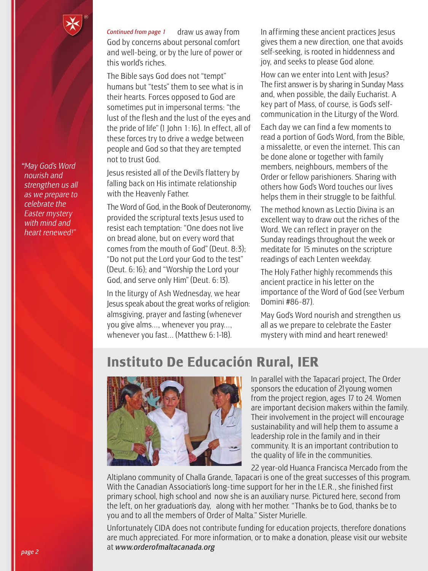

*"May God's Word nourish and strengthen us all as we prepare to celebrate the Easter mystery with mind and heart renewed!"*

draw us away from God by concerns about personal comfort and well-being, or by the lure of power or this world's riches. *Continued from page 1*

The Bible says God does not "tempt" humans but "tests" them to see what is in their hearts. Forces opposed to God are sometimes put in impersonal terms: "the lust of the flesh and the lust of the eyes and the pride of life" (1 John 1:16). In effect, all of these forces try to drive a wedge between people and God so that they are tempted not to trust God.

Jesus resisted all of the Devil's flattery by falling back on His intimate relationship with the Heavenly Father.

The Word of God, in the Book of Deuteronomy, provided the scriptural texts Jesus used to resist each temptation: "One does not live on bread alone, but on every word that comes from the mouth of God" (Deut. 8:3); "Do not put the Lord your God to the test" (Deut. 6:16); and "Worship the Lord your God, and serve only Him" (Deut. 6:13).

In the liturgy of Ash Wednesday, we hear Jesus speak about the great works of religion: almsgiving, prayer and fasting (whenever you give alms..., whenever you pray..., whenever you fast... (Matthew 6: 1-18).

In affirming these ancient practices Jesus gives them a new direction, one that avoids self-seeking, is rooted in hiddenness and joy, and seeks to please God alone.

How can we enter into Lent with Jesus? The first answer is by sharing in Sunday Mass and, when possible, the daily Eucharist. A key part of Mass, of course, is God's selfcommunication in the Liturgy of the Word.

Each day we can find a few moments to read a portion of God's Word, from the Bible, a missalette, or even the internet. This can be done alone or together with family members, neighbours, members of the Order or fellow parishioners. Sharing with others how God's Word touches our lives helps them in their struggle to be faithful.

The method known as Lectio Divina is an excellent way to draw out the riches of the Word. We can reflect in prayer on the Sunday readings throughout the week or meditate for 15 minutes on the scripture readings of each Lenten weekday.

The Holy Father highly recommends this ancient practice in his letter on the importance of the Word of God (see Verbum Domini #86-87).

May God's Word nourish and strengthen us all as we prepare to celebrate the Easter mystery with mind and heart renewed!

## **Instituto De Educación Rural, IER**



In parallel with the Tapacarí project, The Order sponsors the education of 21young women from the project region, ages 17 to 24. Women are important decision makers within the family. Their involvement in the project will encourage sustainability and will help them to assume a leadership role in the family and in their community. It is an important contribution to the quality of life in the communities.

22 year-old Huanca Francisca Mercado from the

Altiplano community of Challa Grande, Tapacari is one of the great successes of this program. With the Canadian Association's long- time support for her in the I.E.R., she finished first primary school, high school and now she is an auxiliary nurse. Pictured here, second from the left, on her graduation's day, along with her mother. "Thanks be to God, thanks be to you and to all the members of Order of Malta." Sister Murielle.

Unfortunately CIDA does not contribute funding for education projects, therefore donations are much appreciated. For more information, or to make a donation, please visit our website at *www.orderofmaltacanada.org*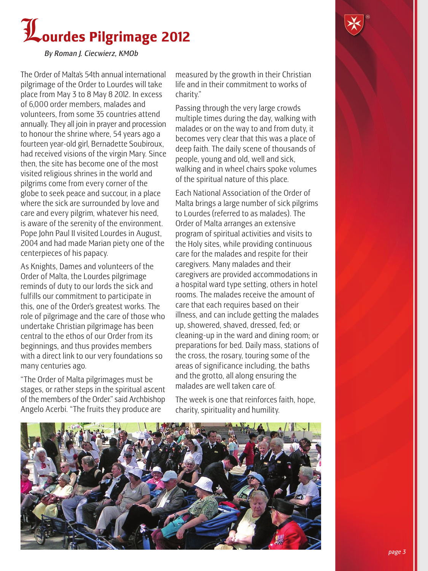



*By Roman J. Ciecwierz, KMOb*

The Order of Malta's 54th annual international pilgrimage of the Order to Lourdes will take place from May 3 to 8 May 8 2012. In excess of 6,000 order members, malades and volunteers, from some 35 countries attend annually. They all join in prayer and procession to honour the shrine where, 54 years ago a fourteen year-old girl, Bernadette Soubiroux, had received visions of the virgin Mary. Since then, the site has become one of the most visited religious shrines in the world and pilgrims come from every corner of the globe to seek peace and succour, in a place where the sick are surrounded by love and care and every pilgrim, whatever his need, is aware of the serenity of the environment. Pope John Paul II visited Lourdes in August, 2004 and had made Marian piety one of the centerpieces of his papacy.

As Knights, Dames and volunteers of the Order of Malta, the Lourdes pilgrimage reminds of duty to our lords the sick and fulfills our commitment to participate in this, one of the Order's greatest works. The role of pilgrimage and the care of those who undertake Christian pilgrimage has been central to the ethos of our Order from its beginnings, and thus provides members with a direct link to our very foundations so many centuries ago.

"The Order of Malta pilgrimages must be stages, or rather steps in the spiritual ascent of the members of the Order." said Archbishop Angelo Acerbi. "The fruits they produce are

measured by the growth in their Christian life and in their commitment to works of charity."

Passing through the very large crowds multiple times during the day, walking with malades or on the way to and from duty, it becomes very clear that this was a place of deep faith. The daily scene of thousands of people, young and old, well and sick, walking and in wheel chairs spoke volumes of the spiritual nature of this place.

Each National Association of the Order of Malta brings a large number of sick pilgrims to Lourdes (referred to as malades). The Order of Malta arranges an extensive program of spiritual activities and visits to the Holy sites, while providing continuous care for the malades and respite for their caregivers. Many malades and their caregivers are provided accommodations in a hospital ward type setting, others in hotel rooms. The malades receive the amount of care that each requires based on their illness, and can include getting the malades up, showered, shaved, dressed, fed; or cleaning-up in the ward and dining room; or preparations for bed. Daily mass, stations of the cross, the rosary, touring some of the areas of significance including, the baths and the grotto, all along ensuring the malades are well taken care of.

The week is one that reinforces faith, hope, charity, spirituality and humility.

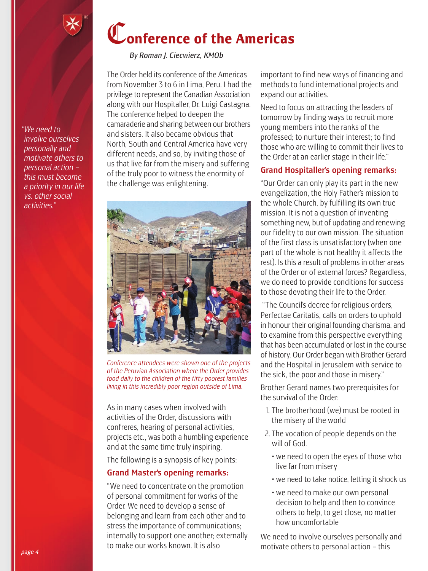

*By Roman J. Ciecwierz, KMOb*

The Order held its conference of the Americas from November 3 to 6 in Lima, Peru. I had the privilege to represent the Canadian Association along with our Hospitaller, Dr. Luigi Castagna. The conference helped to deepen the camaraderie and sharing between our brothers and sisters. It also became obvious that North, South and Central America have very different needs, and so, by inviting those of us that live far from the misery and suffering of the truly poor to witness the enormity of the challenge was enlightening.



*Conference attendees were shown one of the projects of the Peruvian Association where the Order provides food daily to the children of the fifty poorest families living in this incredibly poor region outside of Lima.*

As in many cases when involved with activities of the Order, discussions with confreres, hearing of personal activities, projects etc., was both a humbling experience and at the same time truly inspiring.

The following is a synopsis of key points:

#### Grand Master's opening remarks:

"We need to concentrate on the promotion of personal commitment for works of the Order. We need to develop a sense of belonging and learn from each other and to stress the importance of communications; internally to support one another; externally to make our works known. It is also

important to find new ways of financing and methods to fund international projects and expand our activities.

Need to focus on attracting the leaders of tomorrow by finding ways to recruit more young members into the ranks of the professed; to nurture their interest; to find those who are willing to commit their lives to the Order at an earlier stage in their life."

#### Grand Hospitaller's opening remarks:

"Our Order can only play its part in the new evangelization, the Holy Father's mission to the whole Church, by fulfilling its own true mission. It is not a question of inventing something new, but of updating and renewing our fidelity to our own mission. The situation of the first class is unsatisfactory (when one part of the whole is not healthy it affects the rest). Is this a result of problems in other areas of the Order or of external forces? Regardless, we do need to provide conditions for success to those devoting their life to the Order.

"The Council's decree for religious orders, Perfectae Caritatis, calls on orders to uphold in honour their original founding charisma, and to examine from this perspective everything that has been accumulated or lost in the course of history. Our Order began with Brother Gerard and the Hospital in Jerusalem with service to the sick, the poor and those in misery."

Brother Gerard names two prerequisites for the survival of the Order:

- 1. The brotherhood (we) must be rooted in the misery of the world
- 2. The vocation of people depends on the will of God.
	- we need to open the eyes of those who live far from misery
	- we need to take notice, letting it shock us
	- we need to make our own personal decision to help and then to convince others to help, to get close, no matter how uncomfortable

We need to involve ourselves personally and motivate others to personal action – this

*"We need to involve ourselves personally and motivate others to personal action – this must become a priority in our life vs. other social activities."*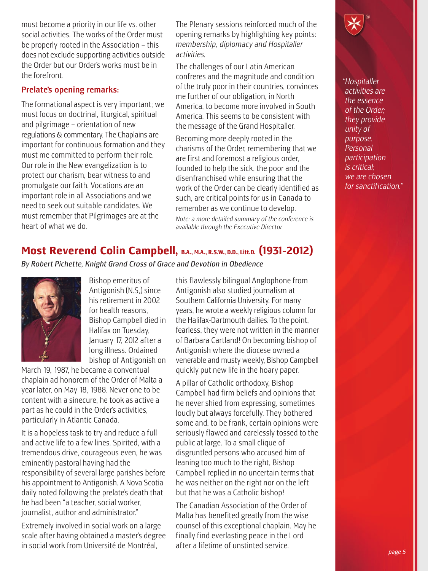must become a priority in our life vs. other social activities. The works of the Order must be properly rooted in the Association – this does not exclude supporting activities outside the Order but our Order's works must be in the forefront.

#### Prelate's opening remarks:

The formational aspect is very important; we must focus on doctrinal, liturgical, spiritual and pilgrimage – orientation of new regulations & commentary. The Chaplains are important for continuous formation and they must me committed to perform their role. Our role in the New evangelization is to protect our charism, bear witness to and promulgate our faith. Vocations are an important role in all Associations and we need to seek out suitable candidates. We must remember that Pilgrimages are at the heart of what we do.

The Plenary sessions reinforced much of the opening remarks by highlighting key points: *membership, diplomacy and Hospitaller activities.*

The challenges of our Latin American confreres and the magnitude and condition of the truly poor in their countries, convinces me further of our obligation, in North America, to become more involved in South America. This seems to be consistent with the message of the Grand Hospitaller.

Becoming more deeply rooted in the charisms of the Order, remembering that we are first and foremost a religious order, founded to help the sick, the poor and the disenfranchised while ensuring that the work of the Order can be clearly identified as such, are critical points for us in Canada to remember as we continue to develop. *Note: a more detailed summary of the conference is available through the Executive Director.*

*"Hospitaller activities are the essence of the Order; they provide unity of purpose. Personal participation is critical; we are chosen for sanctification."*

### **Most Reverend Colin Campbell, B.A., M.A., R.S.W., D.D., Litt.D. (1931-2012)**

*By Robert Pichette, Knight Grand Cross of Grace and Devotion in Obedience*



Bishop emeritus of Antigonish (N.S,) since his retirement in 2002 for health reasons, Bishop Campbell died in Halifax on Tuesday, January 17, 2012 after a long illness. Ordained bishop of Antigonish on

March 19, 1987, he became a conventual chaplain ad honorem of the Order of Malta a year later, on May 18, 1988. Never one to be content with a sinecure, he took as active a part as he could in the Order's activities, particularly in Atlantic Canada.

It is a hopeless task to try and reduce a full and active life to a few lines. Spirited, with a tremendous drive, courageous even, he was eminently pastoral having had the responsibility of several large parishes before his appointment to Antigonish. A Nova Scotia daily noted following the prelate's death that he had been "a teacher, social worker, journalist, author and administrator."

Extremely involved in social work on a large scale after having obtained a master's degree in social work from Université de Montréal,

this flawlessly bilingual Anglophone from Antigonish also studied journalism at Southern California University. For many years, he wrote a weekly religious column for the Halifax-Dartmouth dailies. To the point, fearless, they were not written in the manner of Barbara Cartland! On becoming bishop of Antigonish where the diocese owned a venerable and musty weekly, Bishop Campbell quickly put new life in the hoary paper.

A pillar of Catholic orthodoxy, Bishop Campbell had firm beliefs and opinions that he never shied from expressing, sometimes loudly but always forcefully. They bothered some and, to be frank, certain opinions were seriously flawed and carelessly tossed to the public at large. To a small clique of disgruntled persons who accused him of leaning too much to the right, Bishop Campbell replied in no uncertain terms that he was neither on the right nor on the left but that he was a Catholic bishop!

The Canadian Association of the Order of Malta has benefited greatly from the wise counsel of this exceptional chaplain. May he finally find everlasting peace in the Lord after a lifetime of unstinted service.